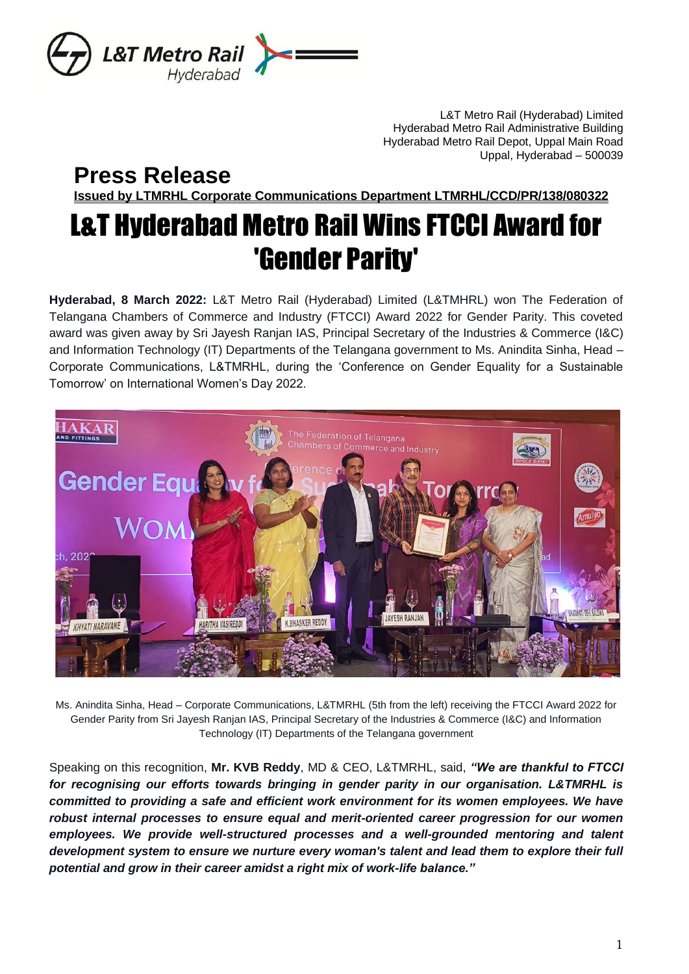

L&T Metro Rail (Hyderabad) Limited Hyderabad Metro Rail Administrative Building Hyderabad Metro Rail Depot, Uppal Main Road Uppal, Hyderabad – 500039

## **Press Release**

**Issued by LTMRHL Corporate Communications Department LTMRHL/CCD/PR/138/080322**

# L&T Hyderabad Metro Rail Wins FTCCI Award for 'Gender Parity'

**Hyderabad, 8 March 2022:** L&T Metro Rail (Hyderabad) Limited (L&TMHRL) won The Federation of Telangana Chambers of Commerce and Industry (FTCCI) Award 2022 for Gender Parity. This coveted award was given away by Sri Jayesh Ranjan IAS, Principal Secretary of the Industries & Commerce (I&C) and Information Technology (IT) Departments of the Telangana government to Ms. Anindita Sinha, Head – Corporate Communications, L&TMRHL, during the 'Conference on Gender Equality for a Sustainable Tomorrow' on International Women's Day 2022.



Ms. Anindita Sinha, Head – Corporate Communications, L&TMRHL (5th from the left) receiving the FTCCI Award 2022 for Gender Parity from Sri Jayesh Ranjan IAS, Principal Secretary of the Industries & Commerce (I&C) and Information Technology (IT) Departments of the Telangana government

Speaking on this recognition, **Mr. KVB Reddy**, MD & CEO, L&TMRHL, said, *"We are thankful to FTCCI for recognising our efforts towards bringing in gender parity in our organisation. L&TMRHL is committed to providing a safe and efficient work environment for its women employees. We have robust internal processes to ensure equal and merit-oriented career progression for our women employees. We provide well-structured processes and a well-grounded mentoring and talent development system to ensure we nurture every woman's talent and lead them to explore their full potential and grow in their career amidst a right mix of work-life balance."*